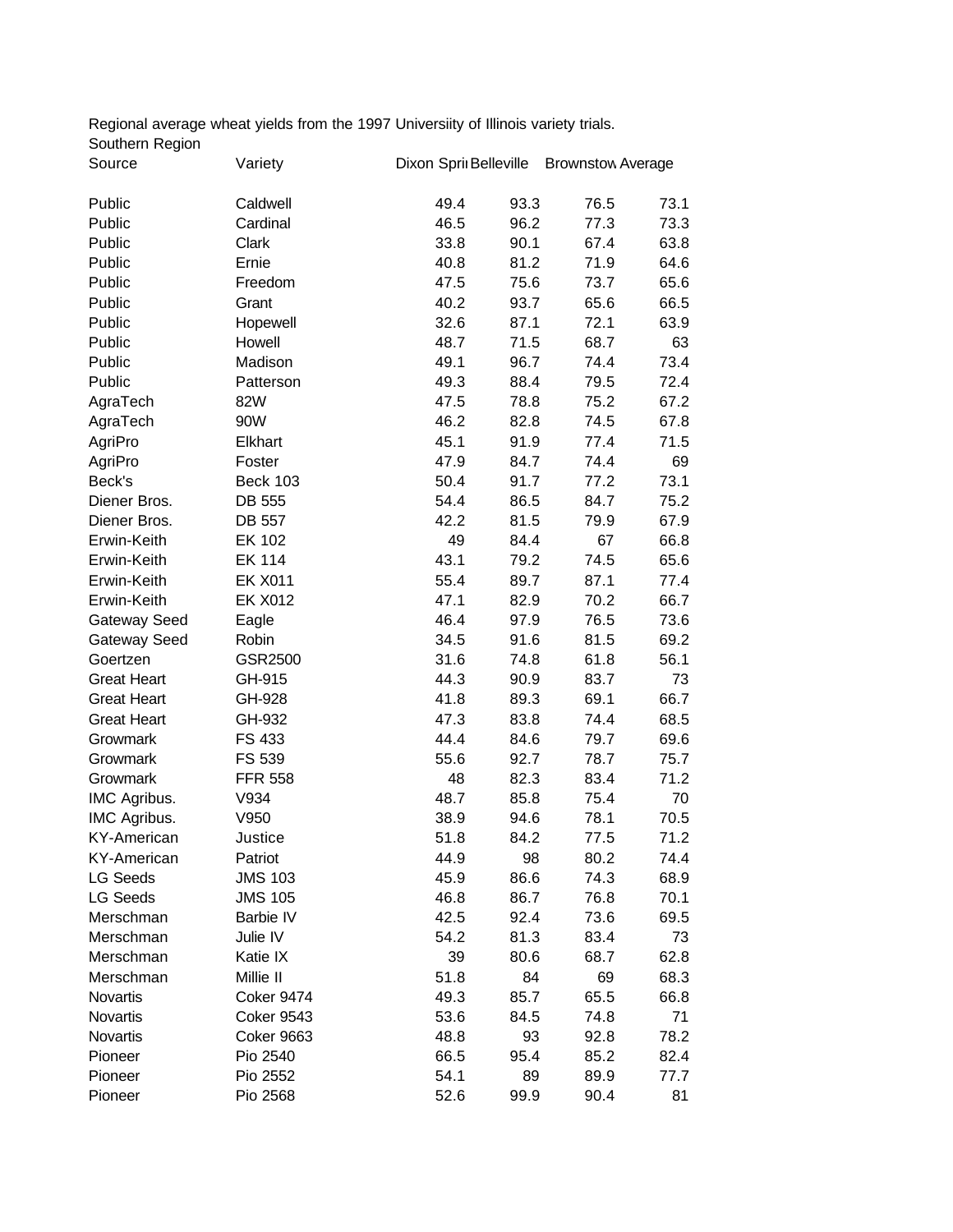Regional average wheat yields from the 1997 Universiity of Illinois variety trials. Southern Region Source Variety Dixon Springs Belleville BrownstownAverage

| Source             | Variety           | Dixon Sprii Belleville Brownstow Average |      |      |      |
|--------------------|-------------------|------------------------------------------|------|------|------|
| Public             | Caldwell          | 49.4                                     | 93.3 | 76.5 | 73.1 |
| Public             | Cardinal          | 46.5                                     | 96.2 | 77.3 | 73.3 |
| Public             | Clark             | 33.8                                     | 90.1 | 67.4 | 63.8 |
| Public             | Ernie             | 40.8                                     | 81.2 | 71.9 | 64.6 |
| Public             | Freedom           | 47.5                                     | 75.6 | 73.7 | 65.6 |
| Public             | Grant             | 40.2                                     | 93.7 | 65.6 | 66.5 |
| Public             | Hopewell          | 32.6                                     | 87.1 | 72.1 | 63.9 |
| Public             | Howell            | 48.7                                     | 71.5 | 68.7 | 63   |
| Public             | Madison           | 49.1                                     | 96.7 | 74.4 | 73.4 |
| Public             | Patterson         | 49.3                                     | 88.4 | 79.5 | 72.4 |
| AgraTech           | 82W               | 47.5                                     | 78.8 | 75.2 | 67.2 |
| AgraTech           | 90W               | 46.2                                     | 82.8 | 74.5 | 67.8 |
| AgriPro            | Elkhart           | 45.1                                     | 91.9 | 77.4 | 71.5 |
| AgriPro            | Foster            | 47.9                                     | 84.7 | 74.4 | 69   |
| Beck's             | <b>Beck 103</b>   | 50.4                                     | 91.7 | 77.2 | 73.1 |
| Diener Bros.       | DB 555            | 54.4                                     | 86.5 | 84.7 | 75.2 |
| Diener Bros.       | <b>DB 557</b>     | 42.2                                     | 81.5 | 79.9 | 67.9 |
| Erwin-Keith        | <b>EK 102</b>     | 49                                       | 84.4 | 67   | 66.8 |
| Erwin-Keith        | <b>EK 114</b>     | 43.1                                     | 79.2 | 74.5 | 65.6 |
| Erwin-Keith        | <b>EK X011</b>    | 55.4                                     | 89.7 | 87.1 | 77.4 |
| Erwin-Keith        | <b>EK X012</b>    | 47.1                                     | 82.9 | 70.2 | 66.7 |
| Gateway Seed       | Eagle             | 46.4                                     | 97.9 | 76.5 | 73.6 |
| Gateway Seed       | Robin             | 34.5                                     | 91.6 | 81.5 | 69.2 |
| Goertzen           | GSR2500           | 31.6                                     | 74.8 | 61.8 | 56.1 |
| <b>Great Heart</b> | GH-915            | 44.3                                     | 90.9 | 83.7 | 73   |
| <b>Great Heart</b> | GH-928            | 41.8                                     | 89.3 | 69.1 | 66.7 |
| <b>Great Heart</b> | GH-932            | 47.3                                     | 83.8 | 74.4 | 68.5 |
| Growmark           | FS 433            | 44.4                                     | 84.6 | 79.7 | 69.6 |
| Growmark           | FS 539            | 55.6                                     | 92.7 | 78.7 | 75.7 |
| Growmark           | <b>FFR 558</b>    | 48                                       | 82.3 | 83.4 | 71.2 |
| IMC Agribus.       | V934              | 48.7                                     | 85.8 | 75.4 | 70   |
| IMC Agribus.       | V950              | 38.9                                     | 94.6 | 78.1 | 70.5 |
| <b>KY-American</b> | Justice           | 51.8                                     | 84.2 | 77.5 | 71.2 |
| <b>KY-American</b> | Patriot           | 44.9                                     | 98   | 80.2 | 74.4 |
| LG Seeds           | <b>JMS 103</b>    | 45.9                                     | 86.6 | 74.3 | 68.9 |
| LG Seeds           | <b>JMS 105</b>    | 46.8                                     | 86.7 | 76.8 | 70.1 |
| Merschman          | Barbie IV         | 42.5                                     | 92.4 | 73.6 | 69.5 |
| Merschman          | Julie IV          | 54.2                                     | 81.3 | 83.4 | 73   |
| Merschman          | Katie IX          | 39                                       | 80.6 | 68.7 | 62.8 |
| Merschman          | Millie II         | 51.8                                     | 84   | 69   | 68.3 |
| Novartis           | Coker 9474        | 49.3                                     | 85.7 | 65.5 | 66.8 |
| Novartis           | <b>Coker 9543</b> | 53.6                                     | 84.5 | 74.8 | 71   |
| Novartis           | Coker 9663        | 48.8                                     | 93   | 92.8 | 78.2 |
| Pioneer            | Pio 2540          | 66.5                                     | 95.4 | 85.2 | 82.4 |
| Pioneer            | Pio 2552          | 54.1                                     | 89   | 89.9 | 77.7 |
| Pioneer            | Pio 2568          | 52.6                                     | 99.9 | 90.4 | 81   |